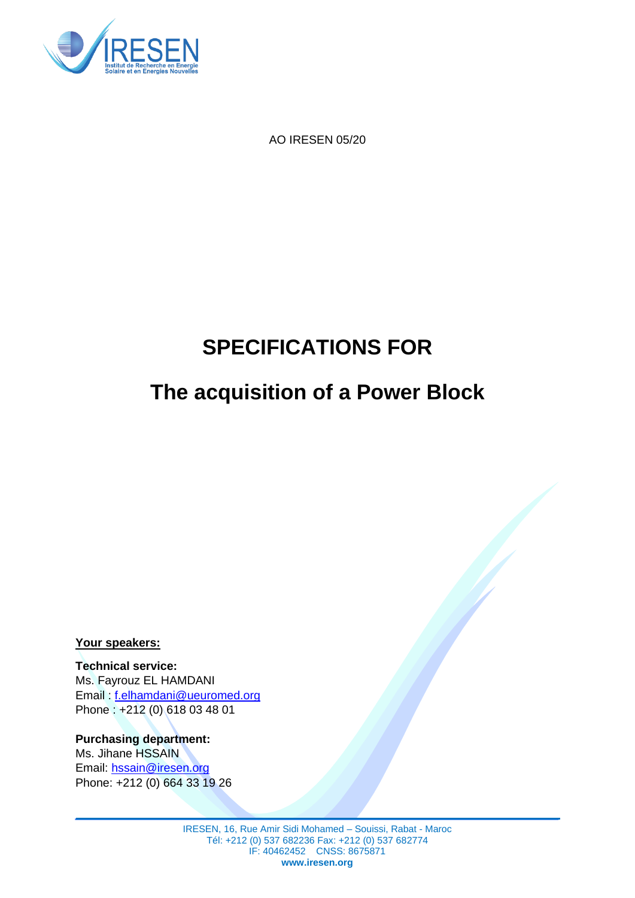

AO IRESEN 05/20

# **SPECIFICATIONS FOR**

## **The acquisition of a Power Block**

**Your speakers:**

**Technical service:** Ms. Fayrouz EL HAMDANI Email : f.elhamdani@ueuromed.org Phone : +212 (0) 618 03 48 01

**Purchasing department:** Ms. Jihane HSSAIN Email: [hssain@iresen.org](mailto:hssain@iresen.org) Phone: +212 (0) 664 33 19 26

> IRESEN, 16, Rue Amir Sidi Mohamed – Souissi, Rabat - Maroc Tél: +212 (0) 537 682236 Fax: +212 (0) 537 682774 IF: 40462452 CNSS: 8675871 **www.iresen.org**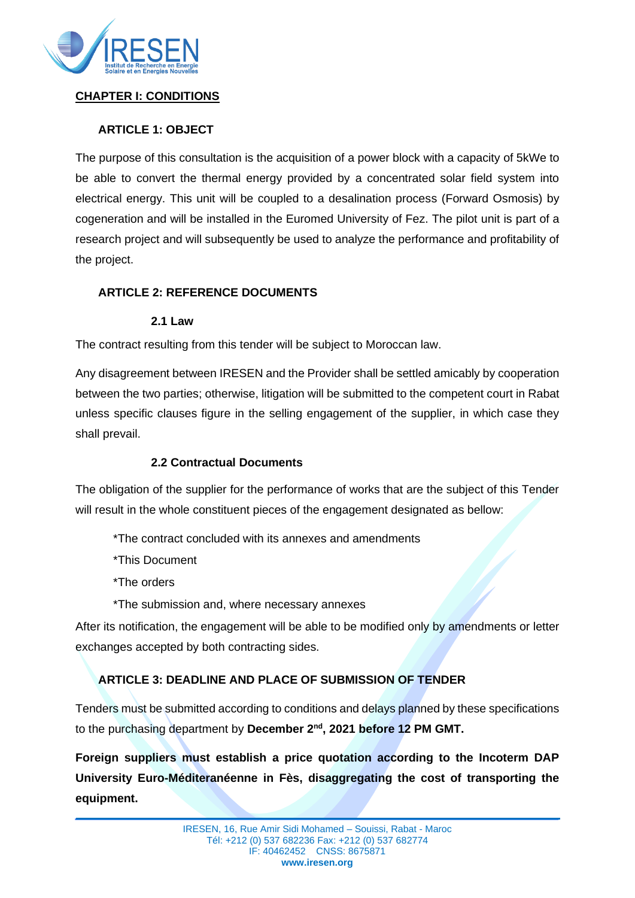

### **CHAPTER I: CONDITIONS**

## **ARTICLE 1: OBJECT**

The purpose of this consultation is the acquisition of a power block with a capacity of 5kWe to be able to convert the thermal energy provided by a concentrated solar field system into electrical energy. This unit will be coupled to a desalination process (Forward Osmosis) by cogeneration and will be installed in the Euromed University of Fez. The pilot unit is part of a research project and will subsequently be used to analyze the performance and profitability of the project.

### **ARTICLE 2: REFERENCE DOCUMENTS**

#### **2.1 Law**

The contract resulting from this tender will be subject to Moroccan law.

Any disagreement between IRESEN and the Provider shall be settled amicably by cooperation between the two parties; otherwise, litigation will be submitted to the competent court in Rabat unless specific clauses figure in the selling engagement of the supplier, in which case they shall prevail.

#### **2.2 Contractual Documents**

The obligation of the supplier for the performance of works that are the subject of this Tender will result in the whole constituent pieces of the engagement designated as bellow:

\*The contract concluded with its annexes and amendments

- \*This Document
- \*The orders
- \*The submission and, where necessary annexes

After its notification, the engagement will be able to be modified only by amendments or letter exchanges accepted by both contracting sides.

## **ARTICLE 3: DEADLINE AND PLACE OF SUBMISSION OF TENDER**

Tenders must be submitted according to conditions and delays planned by these specifications to the purchasing department by December 2<sup>nd</sup>, 2021 before 12 PM GMT.

**Foreign suppliers must establish a price quotation according to the Incoterm DAP University Euro-Méditeranéenne in Fès, disaggregating the cost of transporting the equipment.**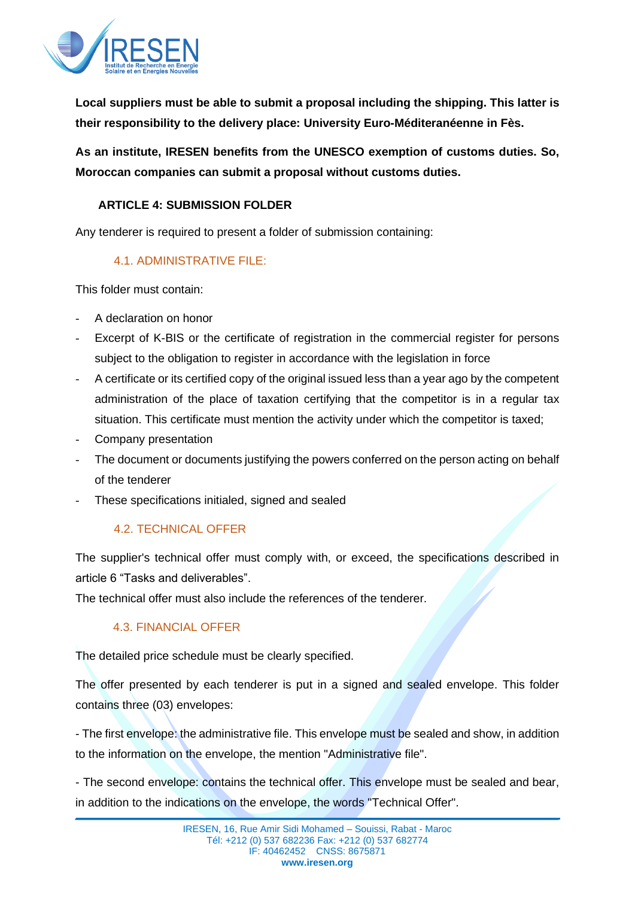

**Local suppliers must be able to submit a proposal including the shipping. This latter is their responsibility to the delivery place: University Euro-Méditeranéenne in Fès.**

**As an institute, IRESEN benefits from the UNESCO exemption of customs duties. So, Moroccan companies can submit a proposal without customs duties.**

### **ARTICLE 4: SUBMISSION FOLDER**

Any tenderer is required to present a folder of submission containing:

## 4.1. ADMINISTRATIVE FILE:

This folder must contain:

- A declaration on honor
- Excerpt of K-BIS or the certificate of registration in the commercial register for persons subject to the obligation to register in accordance with the legislation in force
- A certificate or its certified copy of the original issued less than a year ago by the competent administration of the place of taxation certifying that the competitor is in a regular tax situation. This certificate must mention the activity under which the competitor is taxed;
- Company presentation
- The document or documents justifying the powers conferred on the person acting on behalf of the tenderer
- These specifications initialed, signed and sealed

## 4.2. TECHNICAL OFFER

The supplier's technical offer must comply with, or exceed, the specifications described in article 6 "Tasks and deliverables".

The technical offer must also include the references of the tenderer.

## 4.3. FINANCIAL OFFER

The detailed price schedule must be clearly specified.

The offer presented by each tenderer is put in a signed and sealed envelope. This folder contains three (03) envelopes:

- The first envelope: the administrative file. This envelope must be sealed and show, in addition to the information on the envelope, the mention "Administrative file".

- The second envelope: contains the technical offer. This envelope must be sealed and bear, in addition to the indications on the envelope, the words "Technical Offer".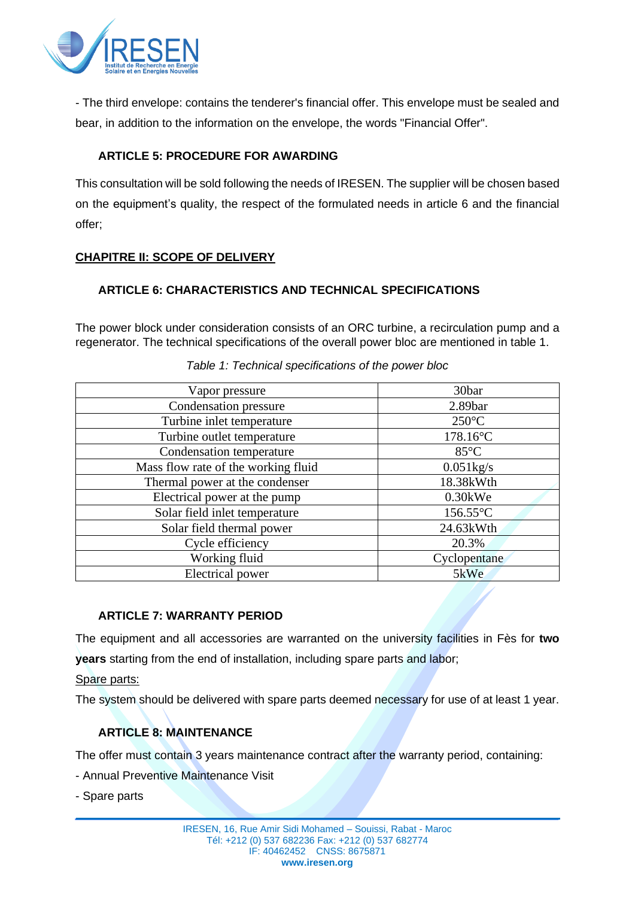

- The third envelope: contains the tenderer's financial offer. This envelope must be sealed and bear, in addition to the information on the envelope, the words "Financial Offer".

## **ARTICLE 5: PROCEDURE FOR AWARDING**

This consultation will be sold following the needs of IRESEN. The supplier will be chosen based on the equipment's quality, the respect of the formulated needs in article 6 and the financial offer;

## **CHAPITRE II: SCOPE OF DELIVERY**

## **ARTICLE 6: CHARACTERISTICS AND TECHNICAL SPECIFICATIONS**

The power block under consideration consists of an ORC turbine, a recirculation pump and a regenerator. The technical specifications of the overall power bloc are mentioned in table 1.

| Vapor pressure                      | 30bar               |
|-------------------------------------|---------------------|
|                                     |                     |
| Condensation pressure               | 2.89 <sub>bar</sub> |
| Turbine inlet temperature           | $250^{\circ}$ C     |
| Turbine outlet temperature          | $178.16^{\circ}$ C  |
| Condensation temperature            | $85^{\circ}$ C      |
| Mass flow rate of the working fluid | $0.051$ kg/s        |
| Thermal power at the condenser      | 18.38kWth           |
| Electrical power at the pump        | $0.30$ kWe          |
| Solar field inlet temperature       | $156.55$ °C         |
| Solar field thermal power           | 24.63kWth           |
| Cycle efficiency                    | 20.3%               |
| Working fluid                       | Cyclopentane        |
| Electrical power                    | 5kWe                |

*Table 1: Technical specifications of the power bloc*

#### **ARTICLE 7: WARRANTY PERIOD**

The equipment and all accessories are warranted on the university facilities in Fès for **two years** starting from the end of installation, including spare parts and labor;

Spare parts:

The system should be delivered with spare parts deemed necessary for use of at least 1 year.

## **ARTICLE 8: MAINTENANCE**

The offer must contain 3 years maintenance contract after the warranty period, containing:

- Annual Preventive Maintenance Visit
- Spare parts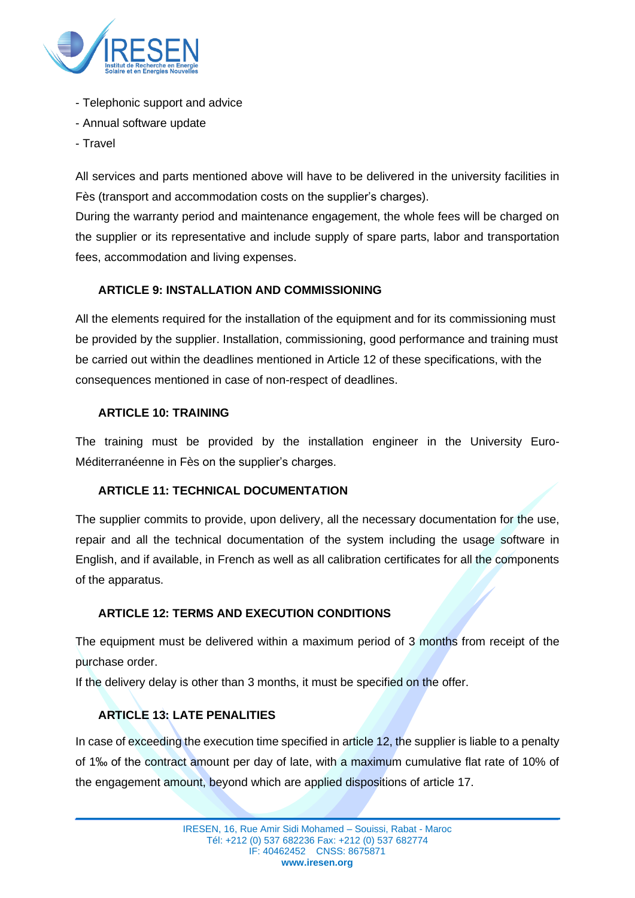

- Telephonic support and advice
- Annual software update
- Travel

All services and parts mentioned above will have to be delivered in the university facilities in Fès (transport and accommodation costs on the supplier's charges).

During the warranty period and maintenance engagement, the whole fees will be charged on the supplier or its representative and include supply of spare parts, labor and transportation fees, accommodation and living expenses.

## **ARTICLE 9: INSTALLATION AND COMMISSIONING**

All the elements required for the installation of the equipment and for its commissioning must be provided by the supplier. Installation, commissioning, good performance and training must be carried out within the deadlines mentioned in Article 12 of these specifications, with the consequences mentioned in case of non-respect of deadlines.

### **ARTICLE 10: TRAINING**

The training must be provided by the installation engineer in the University Euro-Méditerranéenne in Fès on the supplier's charges.

## **ARTICLE 11: TECHNICAL DOCUMENTATION**

The supplier commits to provide, upon delivery, all the necessary documentation for the use, repair and all the technical documentation of the system including the usage software in English, and if available, in French as well as all calibration certificates for all the components of the apparatus.

## **ARTICLE 12: TERMS AND EXECUTION CONDITIONS**

The equipment must be delivered within a maximum period of 3 months from receipt of the purchase order.

If the delivery delay is other than 3 months, it must be specified on the offer.

## **ARTICLE 13: LATE PENALITIES**

In case of exceeding the execution time specified in article 12, the supplier is liable to a penalty of 1‰ of the contract amount per day of late, with a maximum cumulative flat rate of 10% of the engagement amount, beyond which are applied dispositions of article 17.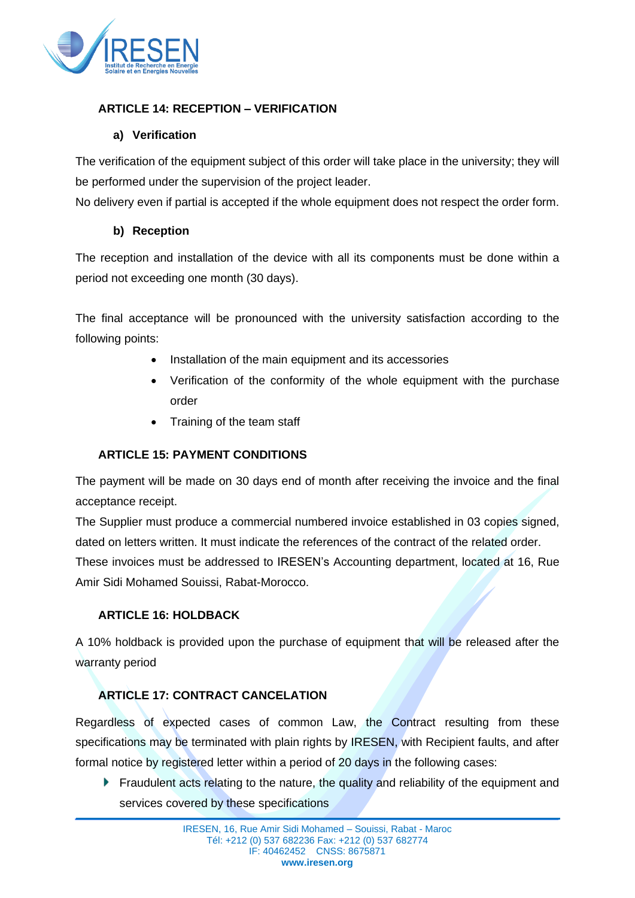

## **ARTICLE 14: RECEPTION – VERIFICATION**

## **a) Verification**

The verification of the equipment subject of this order will take place in the university; they will be performed under the supervision of the project leader.

No delivery even if partial is accepted if the whole equipment does not respect the order form.

## **b) Reception**

The reception and installation of the device with all its components must be done within a period not exceeding one month (30 days).

The final acceptance will be pronounced with the university satisfaction according to the following points:

- Installation of the main equipment and its accessories
- Verification of the conformity of the whole equipment with the purchase order
- Training of the team staff

## **ARTICLE 15: PAYMENT CONDITIONS**

The payment will be made on 30 days end of month after receiving the invoice and the final acceptance receipt.

The Supplier must produce a commercial numbered invoice established in 03 copies signed, dated on letters written. It must indicate the references of the contract of the related order. These invoices must be addressed to IRESEN's Accounting department, located at 16, Rue Amir Sidi Mohamed Souissi, Rabat-Morocco.

## **ARTICLE 16: HOLDBACK**

A 10% holdback is provided upon the purchase of equipment that will be released after the warranty period

## **ARTICLE 17: CONTRACT CANCELATION**

Regardless of expected cases of common Law, the Contract resulting from these specifications may be terminated with plain rights by IRESEN, with Recipient faults, and after formal notice by registered letter within a period of 20 days in the following cases:

**Figure 1** Fraudulent acts relating to the nature, the quality and reliability of the equipment and services covered by these specifications